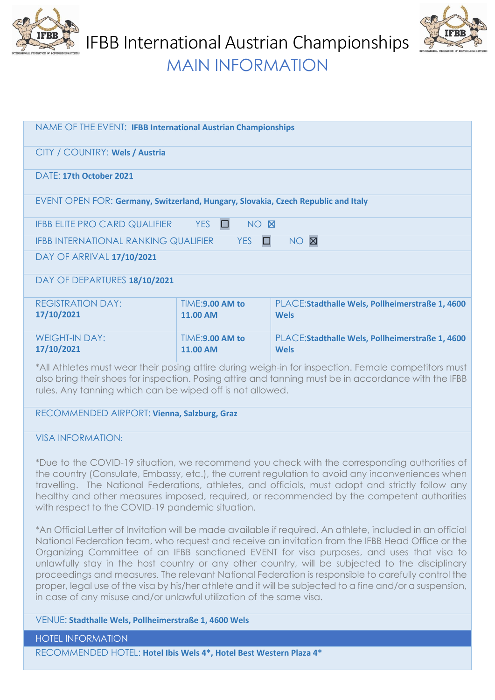

IFBB International Austrian Championships



MAIN INFORMATION

| NAME OF THE EVENT: IFBB International Austrian Championships                                                                                                                                                                                                             |                                    |                                                                 |  |  |
|--------------------------------------------------------------------------------------------------------------------------------------------------------------------------------------------------------------------------------------------------------------------------|------------------------------------|-----------------------------------------------------------------|--|--|
| CITY / COUNTRY: Wels / Austria                                                                                                                                                                                                                                           |                                    |                                                                 |  |  |
| DATF: 17th October 2021                                                                                                                                                                                                                                                  |                                    |                                                                 |  |  |
| EVENT OPEN FOR: Germany, Switzerland, Hungary, Slovakia, Czech Republic and Italy                                                                                                                                                                                        |                                    |                                                                 |  |  |
| <b>IFBB ELITE PRO CARD QUALIFIER</b><br>YES<br>NO X<br>$\Box$                                                                                                                                                                                                            |                                    |                                                                 |  |  |
| NO <b>X</b><br><b>YES</b><br><b>IFBB INTERNATIONAL RANKING QUALIFIER</b><br>$\Box$                                                                                                                                                                                       |                                    |                                                                 |  |  |
| DAY OF ARRIVAL 17/10/2021                                                                                                                                                                                                                                                |                                    |                                                                 |  |  |
| DAY OF DEPARTURES 18/10/2021                                                                                                                                                                                                                                             |                                    |                                                                 |  |  |
| <b>REGISTRATION DAY:</b><br>17/10/2021                                                                                                                                                                                                                                   | TIME:9.00 AM to<br><b>11.00 AM</b> | PLACE: Stadthalle Wels, Pollheimerstraße 1, 4600<br><b>Wels</b> |  |  |
| <b>WEIGHT-IN DAY:</b><br>17/10/2021                                                                                                                                                                                                                                      | TIME:9.00 AM to<br><b>11.00 AM</b> | PLACE: Stadthalle Wels, Pollheimerstraße 1, 4600<br><b>Wels</b> |  |  |
| *All Athletes must wear their posing attire during weigh-in for inspection. Female competitors must<br>also bring their shoes for inspection. Posing attire and tanning must be in accordance with the IFBB<br>rules. Any tanning which can be wiped off is not allowed. |                                    |                                                                 |  |  |
| RECOMMENDED AIRPORT: Vienna, Salzburg, Graz                                                                                                                                                                                                                              |                                    |                                                                 |  |  |

VISA INFORMATION:

\*Due to the COVID-19 situation, we recommend you check with the corresponding authorities of the country (Consulate, Embassy, etc.), the current regulation to avoid any inconveniences when travelling. The National Federations, athletes, and officials, must adopt and strictly follow any healthy and other measures imposed, required, or recommended by the competent authorities with respect to the COVID-19 pandemic situation.

\*An Official Letter of Invitation will be made available if required. An athlete, included in an official National Federation team, who request and receive an invitation from the IFBB Head Office or the Organizing Committee of an IFBB sanctioned EVENT for visa purposes, and uses that visa to unlawfully stay in the host country or any other country, will be subjected to the disciplinary proceedings and measures. The relevant National Federation is responsible to carefully control the proper, legal use of the visa by his/her athlete and it will be subjected to a fine and/or a suspension, in case of any misuse and/or unlawful utilization of the same visa.

## VENUE: **Stadthalle Wels, Pollheimerstraße 1, 4600 Wels**

HOTEL INFORMATION

RECOMMENDED HOTEL: **Hotel Ibis Wels 4\*, Hotel Best Western Plaza 4\***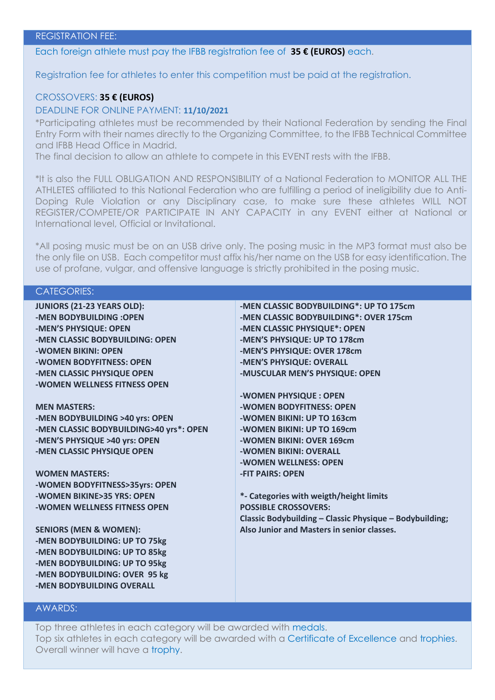Each foreign athlete must pay the IFBB registration fee of **35 € (EUROS)** each.

Registration fee for athletes to enter this competition must be paid at the registration.

## CROSSOVERS: **35 € (EUROS)**

## DEADLINE FOR ONLINE PAYMENT: **11/10/2021**

\*Participating athletes must be recommended by their National Federation by sending the Final Entry Form with their names directly to the Organizing Committee, to the IFBB Technical Committee and IFBB Head Office in Madrid.

The final decision to allow an athlete to compete in this EVENT rests with the IFBB.

\*It is also the FULL OBLIGATION AND RESPONSIBILITY of a National Federation to MONITOR ALL THE ATHLETES affiliated to this National Federation who are fulfilling a period of ineligibility due to Anti-Doping Rule Violation or any Disciplinary case, to make sure these athletes WILL NOT REGISTER/COMPETE/OR PARTICIPATE IN ANY CAPACITY in any EVENT either at National or International level, Official or Invitational.

\*All posing music must be on an USB drive only. The posing music in the MP3 format must also be the only file on USB. Each competitor must affix his/her name on the USB for easy identification. The use of profane, vulgar, and offensive language is strictly prohibited in the posing music.

CATEGORIES:

| <b>JUNIORS (21-23 YEARS OLD):</b> |
|-----------------------------------|
| -MEN BODYBUILDING : OPEN          |
| -MEN'S PHYSIQUE: OPEN             |
| -MEN CLASSIC BODYBUILDING: OPEN   |
| -WOMEN BIKINI: OPEN               |
| -WOMEN BODYFITNESS: OPEN          |
| -MEN CLASSIC PHYSIQUE OPEN        |
| -WOMEN WELLNESS FITNESS OPEN      |

**MEN MASTERS: -MEN BODYBUILDING >40 yrs: OPEN -MEN CLASSIC BODYBUILDING>40 yrs\*: OPEN -MEN'S PHYSIQUE >40 yrs: OPEN -MEN CLASSIC PHYSIQUE OPEN**

**WOMEN MASTERS: -WOMEN BODYFITNESS>35yrs: OPEN -WOMEN BIKINE>35 YRS: OPEN -WOMEN WELLNESS FITNESS OPEN**

**SENIORS (MEN & WOMEN): -MEN BODYBUILDING: UP TO 75kg -MEN BODYBUILDING: UP TO 85kg -MEN BODYBUILDING: UP TO 95kg -MEN BODYBUILDING: OVER 95 kg -MEN BODYBUILDING OVERALL**

**-MEN CLASSIC BODYBUILDING\*: UP TO 175cm -MEN CLASSIC BODYBUILDING\*: OVER 175cm -MEN CLASSIC PHYSIQUE\*: OPEN -MEN'S PHYSIQUE: UP TO 178cm -MEN'S PHYSIQUE: OVER 178cm -MEN'S PHYSIQUE: OVERALL -MUSCULAR MEN'S PHYSIQUE: OPEN**

**-WOMEN PHYSIQUE : OPEN -WOMEN BODYFITNESS: OPEN -WOMEN BIKINI: UP TO 163cm -WOMEN BIKINI: UP TO 169cm -WOMEN BIKINI: OVER 169cm -WOMEN BIKINI: OVERALL -WOMEN WELLNESS: OPEN -FIT PAIRS: OPEN**

**\*- Categories with weigth/height limits POSSIBLE CROSSOVERS: Classic Bodybuilding – Classic Physique – Bodybuilding; Also Junior and Masters in senior classes.**

## AWARDS:

Top three athletes in each category will be awarded with medals. Top six athletes in each category will be awarded with a Certificate of Excellence and trophies. Overall winner will have a trophy.